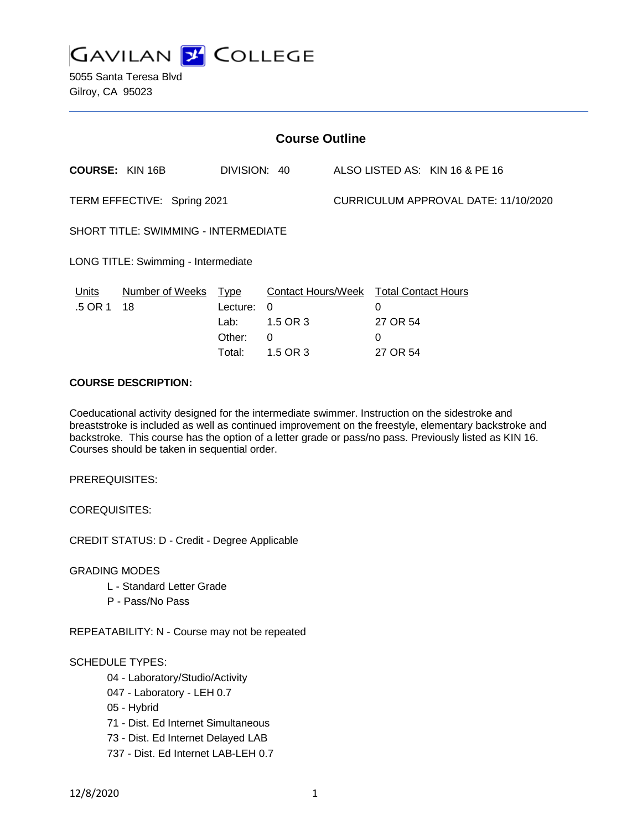

5055 Santa Teresa Blvd Gilroy, CA 95023

| <b>Course Outline</b>                       |                            |                                      |                                                                                 |                                      |                                              |                                |
|---------------------------------------------|----------------------------|--------------------------------------|---------------------------------------------------------------------------------|--------------------------------------|----------------------------------------------|--------------------------------|
|                                             | <b>COURSE: KIN 16B</b>     | DIVISION: 40                         |                                                                                 |                                      |                                              | ALSO LISTED AS: KIN 16 & PE 16 |
| TERM EFFECTIVE: Spring 2021                 |                            |                                      |                                                                                 | CURRICULUM APPROVAL DATE: 11/10/2020 |                                              |                                |
| <b>SHORT TITLE: SWIMMING - INTERMEDIATE</b> |                            |                                      |                                                                                 |                                      |                                              |                                |
| LONG TITLE: Swimming - Intermediate         |                            |                                      |                                                                                 |                                      |                                              |                                |
| Units<br>.5 OR 1                            | Number of Weeks Type<br>18 | Lecture:<br>Lab:<br>Other:<br>Total: | Contact Hours/Week Total Contact Hours<br>$\Omega$<br>1.5 OR 3<br>0<br>1.5 OR 3 |                                      | $\Omega$<br>27 OR 54<br>$\Omega$<br>27 OR 54 |                                |

### **COURSE DESCRIPTION:**

Coeducational activity designed for the intermediate swimmer. Instruction on the sidestroke and breaststroke is included as well as continued improvement on the freestyle, elementary backstroke and backstroke. This course has the option of a letter grade or pass/no pass. Previously listed as KIN 16. Courses should be taken in sequential order.

PREREQUISITES:

COREQUISITES:

CREDIT STATUS: D - Credit - Degree Applicable

GRADING MODES

- L Standard Letter Grade
- P Pass/No Pass

REPEATABILITY: N - Course may not be repeated

#### SCHEDULE TYPES:

- 04 Laboratory/Studio/Activity
- 047 Laboratory LEH 0.7
- 05 Hybrid
- 71 Dist. Ed Internet Simultaneous
- 73 Dist. Ed Internet Delayed LAB
- 737 Dist. Ed Internet LAB-LEH 0.7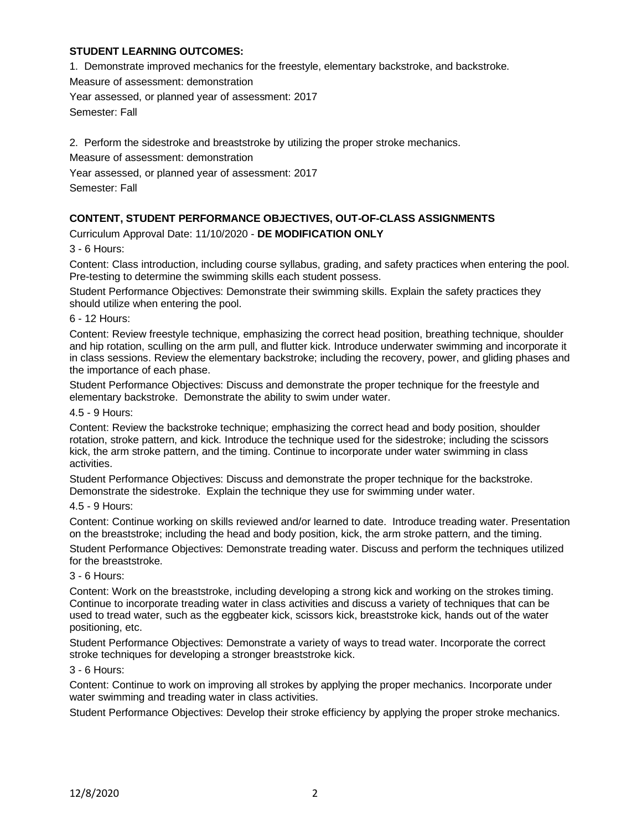### **STUDENT LEARNING OUTCOMES:**

1. Demonstrate improved mechanics for the freestyle, elementary backstroke, and backstroke.

Measure of assessment: demonstration

Year assessed, or planned year of assessment: 2017

Semester: Fall

2. Perform the sidestroke and breaststroke by utilizing the proper stroke mechanics.

Measure of assessment: demonstration

Year assessed, or planned year of assessment: 2017

Semester: Fall

## **CONTENT, STUDENT PERFORMANCE OBJECTIVES, OUT-OF-CLASS ASSIGNMENTS**

Curriculum Approval Date: 11/10/2020 - **DE MODIFICATION ONLY**

3 - 6 Hours:

Content: Class introduction, including course syllabus, grading, and safety practices when entering the pool. Pre-testing to determine the swimming skills each student possess.

Student Performance Objectives: Demonstrate their swimming skills. Explain the safety practices they should utilize when entering the pool.

6 - 12 Hours:

Content: Review freestyle technique, emphasizing the correct head position, breathing technique, shoulder and hip rotation, sculling on the arm pull, and flutter kick. Introduce underwater swimming and incorporate it in class sessions. Review the elementary backstroke; including the recovery, power, and gliding phases and the importance of each phase.

Student Performance Objectives: Discuss and demonstrate the proper technique for the freestyle and elementary backstroke. Demonstrate the ability to swim under water.

4.5 - 9 Hours:

Content: Review the backstroke technique; emphasizing the correct head and body position, shoulder rotation, stroke pattern, and kick. Introduce the technique used for the sidestroke; including the scissors kick, the arm stroke pattern, and the timing. Continue to incorporate under water swimming in class activities.

Student Performance Objectives: Discuss and demonstrate the proper technique for the backstroke. Demonstrate the sidestroke. Explain the technique they use for swimming under water.

#### 4.5 - 9 Hours:

Content: Continue working on skills reviewed and/or learned to date. Introduce treading water. Presentation on the breaststroke; including the head and body position, kick, the arm stroke pattern, and the timing.

Student Performance Objectives: Demonstrate treading water. Discuss and perform the techniques utilized for the breaststroke.

#### 3 - 6 Hours:

Content: Work on the breaststroke, including developing a strong kick and working on the strokes timing. Continue to incorporate treading water in class activities and discuss a variety of techniques that can be used to tread water, such as the eggbeater kick, scissors kick, breaststroke kick, hands out of the water positioning, etc.

Student Performance Objectives: Demonstrate a variety of ways to tread water. Incorporate the correct stroke techniques for developing a stronger breaststroke kick.

#### 3 - 6 Hours:

Content: Continue to work on improving all strokes by applying the proper mechanics. Incorporate under water swimming and treading water in class activities.

Student Performance Objectives: Develop their stroke efficiency by applying the proper stroke mechanics.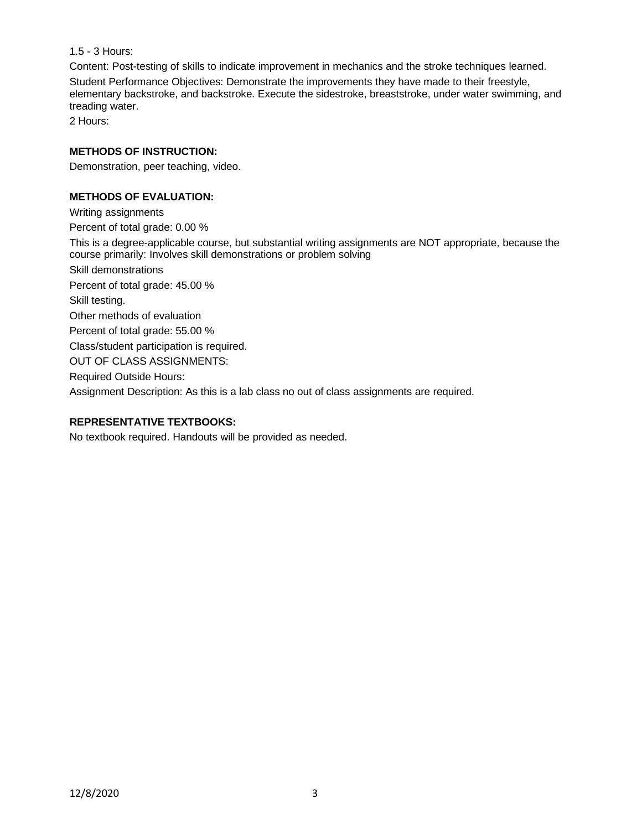1.5 - 3 Hours:

Content: Post-testing of skills to indicate improvement in mechanics and the stroke techniques learned.

Student Performance Objectives: Demonstrate the improvements they have made to their freestyle, elementary backstroke, and backstroke. Execute the sidestroke, breaststroke, under water swimming, and treading water.

2 Hours:

# **METHODS OF INSTRUCTION:**

Demonstration, peer teaching, video.

# **METHODS OF EVALUATION:**

Writing assignments

Percent of total grade: 0.00 %

This is a degree-applicable course, but substantial writing assignments are NOT appropriate, because the course primarily: Involves skill demonstrations or problem solving

Skill demonstrations

Percent of total grade: 45.00 %

Skill testing.

Other methods of evaluation

Percent of total grade: 55.00 %

Class/student participation is required.

OUT OF CLASS ASSIGNMENTS:

Required Outside Hours:

Assignment Description: As this is a lab class no out of class assignments are required.

# **REPRESENTATIVE TEXTBOOKS:**

No textbook required. Handouts will be provided as needed.